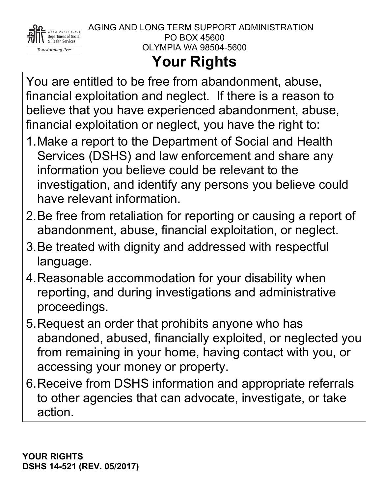

## **Your Rights**

You are entitled to be free from abandonment, abuse, financial exploitation and neglect. If there is a reason to believe that you have experienced abandonment, abuse, financial exploitation or neglect, you have the right to:

- 1.Make a report to the Department of Social and Health Services (DSHS) and law enforcement and share any information you believe could be relevant to the investigation, and identify any persons you believe could have relevant information.
- 2.Be free from retaliation for reporting or causing a report of abandonment, abuse, financial exploitation, or neglect.
- 3.Be treated with dignity and addressed with respectful language.
- 4.Reasonable accommodation for your disability when reporting, and during investigations and administrative proceedings.
- 5.Request an order that prohibits anyone who has abandoned, abused, financially exploited, or neglected you from remaining in your home, having contact with you, or accessing your money or property.
- 6.Receive from DSHS information and appropriate referrals to other agencies that can advocate, investigate, or take action.